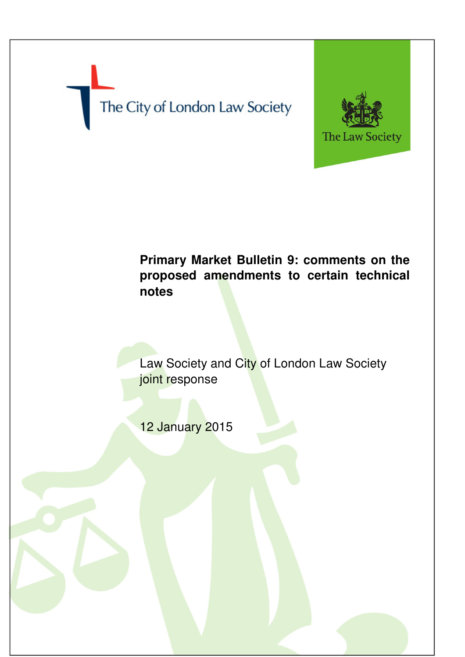The City of London Law Society



# **Primary Market Bulletin 9: comments on the proposed amendments to certain technical notes**

Law Society and City of London Law Society joint response

12 January 2015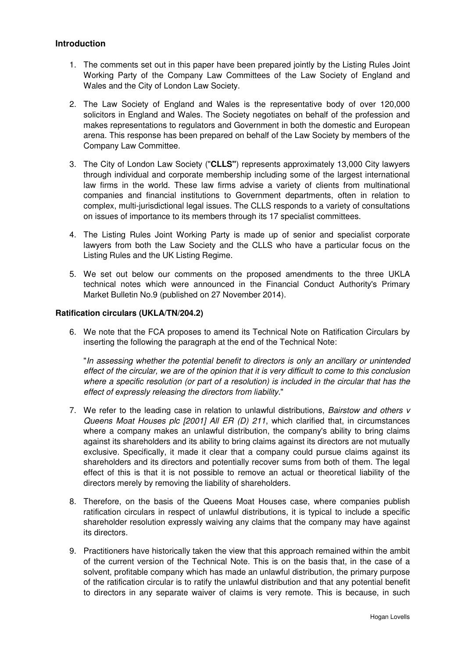## **Introduction**

- 1. The comments set out in this paper have been prepared jointly by the Listing Rules Joint Working Party of the Company Law Committees of the Law Society of England and Wales and the City of London Law Society.
- 2. The Law Society of England and Wales is the representative body of over 120,000 solicitors in England and Wales. The Society negotiates on behalf of the profession and makes representations to regulators and Government in both the domestic and European arena. This response has been prepared on behalf of the Law Society by members of the Company Law Committee.
- 3. The City of London Law Society ("**CLLS"**) represents approximately 13,000 City lawyers through individual and corporate membership including some of the largest international law firms in the world. These law firms advise a variety of clients from multinational companies and financial institutions to Government departments, often in relation to complex, multi-jurisdictional legal issues. The CLLS responds to a variety of consultations on issues of importance to its members through its 17 specialist committees.
- 4. The Listing Rules Joint Working Party is made up of senior and specialist corporate lawyers from both the Law Society and the CLLS who have a particular focus on the Listing Rules and the UK Listing Regime.
- 5. We set out below our comments on the proposed amendments to the three UKLA technical notes which were announced in the Financial Conduct Authority's Primary Market Bulletin No.9 (published on 27 November 2014).

### **Ratification circulars (UKLA/TN/204.2)**

6. We note that the FCA proposes to amend its Technical Note on Ratification Circulars by inserting the following the paragraph at the end of the Technical Note:

"In assessing whether the potential benefit to directors is only an ancillary or unintended effect of the circular, we are of the opinion that it is very difficult to come to this conclusion where a specific resolution (or part of a resolution) is included in the circular that has the effect of expressly releasing the directors from liability."

- 7. We refer to the leading case in relation to unlawful distributions, Bairstow and others v Queens Moat Houses plc [2001] All ER (D) 211, which clarified that, in circumstances where a company makes an unlawful distribution, the company's ability to bring claims against its shareholders and its ability to bring claims against its directors are not mutually exclusive. Specifically, it made it clear that a company could pursue claims against its shareholders and its directors and potentially recover sums from both of them. The legal effect of this is that it is not possible to remove an actual or theoretical liability of the directors merely by removing the liability of shareholders.
- 8. Therefore, on the basis of the Queens Moat Houses case, where companies publish ratification circulars in respect of unlawful distributions, it is typical to include a specific shareholder resolution expressly waiving any claims that the company may have against its directors.
- 9. Practitioners have historically taken the view that this approach remained within the ambit of the current version of the Technical Note. This is on the basis that, in the case of a solvent, profitable company which has made an unlawful distribution, the primary purpose of the ratification circular is to ratify the unlawful distribution and that any potential benefit to directors in any separate waiver of claims is very remote. This is because, in such